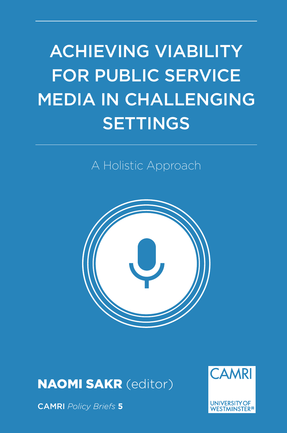# ACHIEVING VIABILITY FOR PUBLIC SERVICE MEDIA IN CHALLENGING **SETTINGS**

A Holistic Approach



NAOMI SAKR (editor)



CAMRI *Policy Briefs* **5**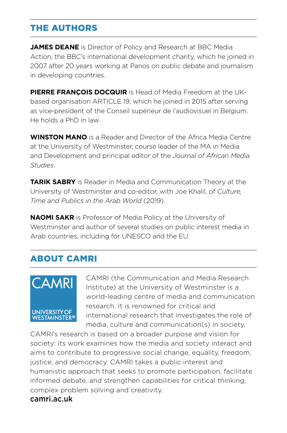#### THE AUTHORS

**JAMES DEANE** is Director of Policy and Research at BBC Media Action, the BBC's international development charity, which he joined in 2007 after 20 years working at Panos on public debate and journalism in developing countries.

**PIERRE FRANÇOIS DOCQUIR** is Head of Media Freedom at the UKbased organisation ARTICLE 19, which he joined in 2015 after serving as vice-president of the Conseil supérieur de l'audiovisuel in Belgium. He holds a PhD in law.

**WINSTON MANO** is a Reader and Director of the Africa Media Centre at the University of Westminster, course leader of the MA in Media and Development and principal editor of the *Journal of African Media Studies*.

**TARIK SABRY** is Reader in Media and Communication Theory at the University of Westminster and co-editor, with Joe Khalil, of *Culture, Time and Publics in the Arab World* (2019).

**NAOMI SAKR** is Professor of Media Policy at the University of Westminster and author of several studies on public interest media in Arab countries, including for UNESCO and the EU.

#### ABOUT CAMRI



CAMRI (the Communication and Media Research Institute) at the University of Westminster is a world-leading centre of media and communication research. It is renowned for critical and international research that investigates the role of media, culture and communication(s) in society.

CAMRI's research is based on a broader purpose and vision for society: its work examines how the media and society interact and aims to contribute to progressive social change, equality, freedom, justice, and democracy. CAMRI takes a public interest and humanistic approach that seeks to promote participation, facilitate informed debate, and strengthen capabilities for critical thinking, complex problem solving and creativity. camri.ac.uk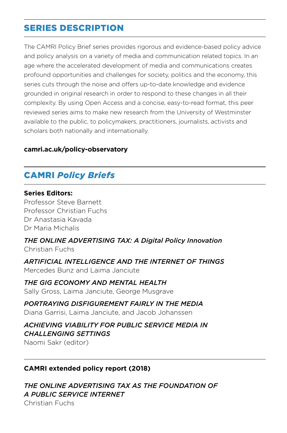#### SERIES DESCRIPTION

The CAMRI Policy Brief series provides rigorous and evidence-based policy advice and policy analysis on a variety of media and communication related topics. In an age where the accelerated development of media and communications creates profound opportunities and challenges for society, politics and the economy, this series cuts through the noise and offers up-to-date knowledge and evidence grounded in original research in order to respond to these changes in all their complexity. By using Open Access and a concise, easy-to-read format, this peer reviewed series aims to make new research from the University of Westminster available to the public, to policymakers, practitioners, journalists, activists and scholars both nationally and internationally.

#### **camri.ac.uk/policy-observatory**

#### CAMRI *Policy Briefs*

#### **Series Editors:**

Professor Steve Barnett Professor Christian Fuchs Dr Anastasia Kavada Dr Maria Michalis

*THE ONLINE ADVERTISING TAX: A Digital Policy Innovation* Christian Fuchs

*ARTIFICIAL INTELLIGENCE AND THE INTERNET OF THINGS* Mercedes Bunz and Laima Janciute

*THE GIG ECONOMY AND MENTAL HEALTH* Sally Gross, Laima Janciute, George Musgrave

#### *PORTRAYING DISFIGUREMENT FAIRLY IN THE MEDIA*

Diana Garrisi, Laima Janciute, and Jacob Johanssen

#### *ACHIEVING VIABILITY FOR PUBLIC SERVICE MEDIA IN CHALLENGING SETTINGS*

Naomi Sakr (editor)

#### **CAMRI extended policy report (2018)**

*THE ONLINE ADVERTISING TAX AS THE FOUNDATION OF A PUBLIC SERVICE INTERNET* Christian Fuchs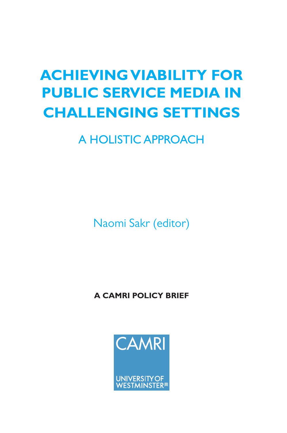# **ACHIEVING VIABILITY FOR PUBLIC SERVICE MEDIA IN CHALLENGING SETTINGS**

# A HOLISTIC APPROACH

Naomi Sakr (editor)

**A CAMRI POLICY BRIEF**

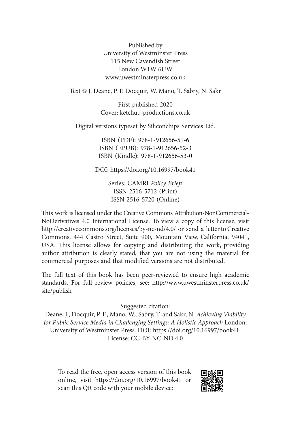Published by University of Westminster Press 115 New Cavendish Street London W1W 6U[W](http://www.uwestminsterpress.co.uk/) [www.uwestminsterpress.co.](http://www.uwestminsterpress.co.uk/)uk

Text © J. Deane, P. F. Docquir, W. Mano, T. Sabry, N. Sakr

First published 2020 Cover: [ketchup-productions.co.uk](http://ketchup-productions.co.uk)

Digital versions typeset by Siliconchips Services Ltd.

ISBN (PDF): 978-1-912656-51-6 ISBN (EPUB): 978-1-912656-52-3 ISBN (Kindle): 978-1-912656-53-0

DOI: <https://doi.org/10.16997/book41>

Series: CAMRI *Policy Briefs* ISSN 2516-5712 (Print) ISSN 2516-5720 (Online)

This work is licensed under the Creative Commons Attribution-NonCommercial-NoDerivatives 4.0 International License. To view a copy of this license, visit [http://creativecommons.org/licenses/by-nc-nd/4.0/](http://creativecommons.org/licenses/by-nc-nd/4.0) or send a letter to Creative Commons, 444 Castro Street, Suite 900, Mountain View, California, 94041, USA. This license allows for copying and distributing the work, providing author attribution is clearly stated, that you are not using the material for commercial purposes and that modified versions are not distributed.

The full text of this book has been peer-reviewed to ensure high academic standards. For full review policies, see: [http://www.uwestminsterpress.co.uk/](http://www.uwestminsterpress.co.uk/site/publish) [site/publish](http://www.uwestminsterpress.co.uk/site/publish)

Suggested citation:

Deane, J., Docquir, P. F., Mano, W., Sabry, T. and Sakr, N. *Achieving Viability for Public Service Media in Challenging Settings: A Holistic Approach* London: University of Westminster Press. DOI: <https://doi.org/10.16997/book41>. License: CC-BY-NC-ND 4.0

To read the free, open access version of this book online, visit <https://doi.org/10.16997/book41>or scan this QR code with your mobile device:

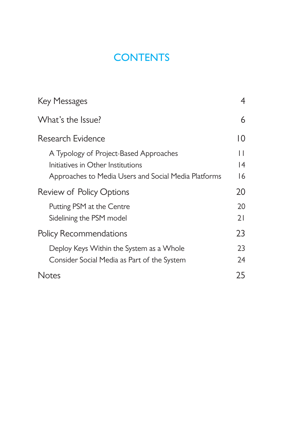# **CONTENTS**

| <b>Key Messages</b>                                                                                                                 | 4                   |
|-------------------------------------------------------------------------------------------------------------------------------------|---------------------|
| What's the Issue?                                                                                                                   | 6                   |
| Research Evidence                                                                                                                   | 10                  |
| A Typology of Project-Based Approaches<br>Initiatives in Other Institutions<br>Approaches to Media Users and Social Media Platforms | $\perp$<br> 4<br>16 |
| <b>Review of Policy Options</b>                                                                                                     | 20                  |
| Putting PSM at the Centre<br>Sidelining the PSM model                                                                               | 20<br>21            |
| <b>Policy Recommendations</b>                                                                                                       | 23                  |
| Deploy Keys Within the System as a Whole<br>Consider Social Media as Part of the System                                             | 23<br>24            |
| Notes                                                                                                                               | 25                  |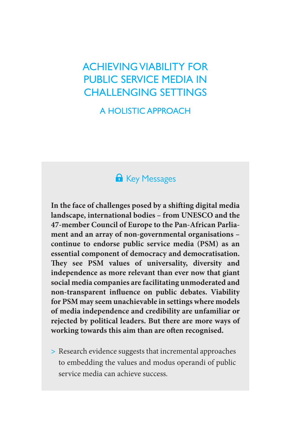## ACHIEVING VIABILITY FOR PUBLIC SERVICE MEDIA IN CHALLENGING SETTINGS

A HOLISTIC APPROACH

## <span id="page-6-0"></span>**A** Key Messages

**In the face of challenges posed by a shifting digital media landscape, international bodies – from UNESCO and the 47-member Council of Europe to the Pan-African Parliament and an array of non-governmental organisations – continue to endorse public service media (PSM) as an essential component of democracy and democratisation. They see PSM values of universality, diversity and independence as more relevant than ever now that giant social media companies are facilitating unmoderated and non-transparent influence on public debates. Viability for PSM may seem unachievable in settings where models of media independence and credibility are unfamiliar or rejected by political leaders. But there are more ways of working towards this aim than are often recognised.**

**>** Research evidence suggests that incremental approaches to embedding the values and modus operandi of public service media can achieve success.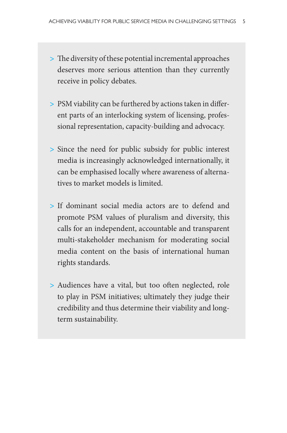- **>** The diversity of these potential incremental approaches deserves more serious attention than they currently receive in policy debates.
- **>** PSM viability can be furthered by actions taken in different parts of an interlocking system of licensing, professional representation, capacity-building and advocacy.
- **>** Since the need for public subsidy for public interest media is increasingly acknowledged internationally, it can be emphasised locally where awareness of alternatives to market models is limited.
- **>** If dominant social media actors are to defend and promote PSM values of pluralism and diversity, this calls for an independent, accountable and transparent multi-stakeholder mechanism for moderating social media content on the basis of international human rights standards.
- **>** Audiences have a vital, but too often neglected, role to play in PSM initiatives; ultimately they judge their credibility and thus determine their viability and longterm sustainability.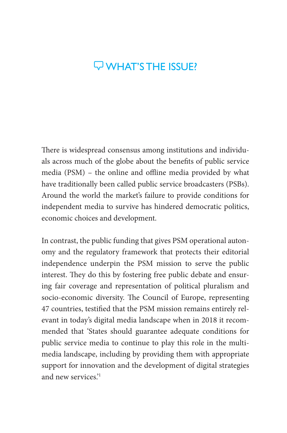## $\nabla$  WHAT'S THE ISSUE?

There is widespread consensus among institutions and individuals across much of the globe about the benefits of public service media (PSM) – the online and offline media provided by what have traditionally been called public service broadcasters (PSBs). Around the world the market's failure to provide conditions for independent media to survive has hindered democratic politics, economic choices and development.

In contrast, the public funding that gives PSM operational autonomy and the regulatory framework that protects their editorial independence underpin the PSM mission to serve the public interest. They do this by fostering free public debate and ensuring fair coverage and representation of political pluralism and socio-economic diversity. The Council of Europe, representing 47 countries, testified that the PSM mission remains entirely relevant in today's digital media landscape when in 2018 it recommended that 'States should guarantee adequate conditions for public service media to continue to play this role in the multimedia landscape, including by providing them with appropriate support for innovation and the development of digital strategies and new services.['1](#page-27-1)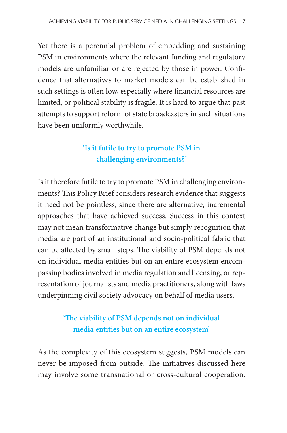Yet there is a perennial problem of embedding and sustaining PSM in environments where the relevant funding and regulatory models are unfamiliar or are rejected by those in power. Confidence that alternatives to market models can be established in such settings is often low, especially where financial resources are limited, or political stability is fragile. It is hard to argue that past attempts to support reform of state broadcasters in such situations have been uniformly worthwhile.

### **'Is it futile to try to promote PSM in challenging environments?'**

Is it therefore futile to try to promote PSM in challenging environments? This Policy Brief considers research evidence that suggests it need not be pointless, since there are alternative, incremental approaches that have achieved success. Success in this context may not mean transformative change but simply recognition that media are part of an institutional and socio-political fabric that can be affected by small steps. The viability of PSM depends not on individual media entities but on an entire ecosystem encompassing bodies involved in media regulation and licensing, or representation of journalists and media practitioners, along with laws underpinning civil society advocacy on behalf of media users.

### **'The viability of PSM depends not on individual media entities but on an entire ecosystem'**

As the complexity of this ecosystem suggests, PSM models can never be imposed from outside. The initiatives discussed here may involve some transnational or cross-cultural cooperation.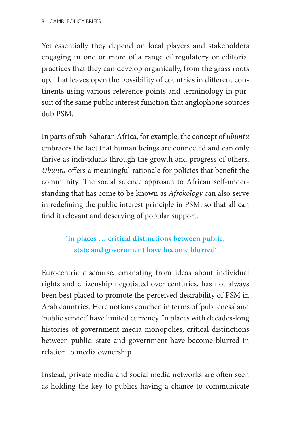Yet essentially they depend on local players and stakeholders engaging in one or more of a range of regulatory or editorial practices that they can develop organically, from the grass roots up. That leaves open the possibility of countries in different continents using various reference points and terminology in pursuit of the same public interest function that anglophone sources dub PSM.

In parts of sub-Saharan Africa, for example, the concept of *ubuntu*  embraces the fact that human beings are connected and can only thrive as individuals through the growth and progress of others. *Ubuntu* offers a meaningful rationale for policies that benefit the community. The social science approach to African self-understanding that has come to be known as *Afrokology* can also serve in redefining the public interest principle in PSM, so that all can find it relevant and deserving of popular support.

### **'In places … critical distinctions between public, state and government have become blurred'**

Eurocentric discourse, emanating from ideas about individual rights and citizenship negotiated over centuries, has not always been best placed to promote the perceived desirability of PSM in Arab countries. Here notions couched in terms of 'publicness' and 'public service' have limited currency. In places with decades-long histories of government media monopolies, critical distinctions between public, state and government have become blurred in relation to media ownership.

Instead, private media and social media networks are often seen as holding the key to publics having a chance to communicate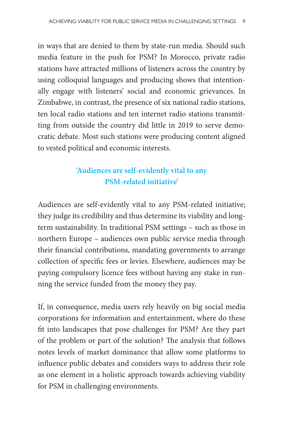in ways that are denied to them by state-run media. Should such media feature in the push for PSM? In Morocco, private radio stations have attracted millions of listeners across the country by using colloquial languages and producing shows that intentionally engage with listeners' social and economic grievances. In Zimbabwe, in contrast, the presence of six national radio stations, ten local radio stations and ten internet radio stations transmitting from outside the country did little in 2019 to serve democratic debate. Most such stations were producing content aligned to vested political and economic interests.

### **'Audiences are self-evidently vital to any PSM-related initiative'**

Audiences are self-evidently vital to any PSM-related initiative; they judge its credibility and thus determine its viability and longterm sustainability. In traditional PSM settings – such as those in northern Europe – audiences own public service media through their financial contributions, mandating governments to arrange collection of specific fees or levies. Elsewhere, audiences may be paying compulsory licence fees without having any stake in running the service funded from the money they pay.

If, in consequence, media users rely heavily on big social media corporations for information and entertainment, where do these fit into landscapes that pose challenges for PSM? Are they part of the problem or part of the solution? The analysis that follows notes levels of market dominance that allow some platforms to influence public debates and considers ways to address their role as one element in a holistic approach towards achieving viability for PSM in challenging environments.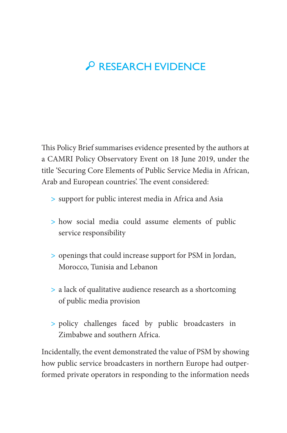# <span id="page-12-0"></span>P RESEARCH EVIDENCE

This Policy Brief summarises evidence presented by the authors at a CAMRI Policy Observatory Event on 18 June 2019, under the title 'Securing Core Elements of Public Service Media in African, Arab and European countries'. The event considered:

- **>** support for public interest media in Africa and Asia
- **>** how social media could assume elements of public service responsibility
- **>** openings that could increase support for PSM in Jordan, Morocco, Tunisia and Lebanon
- **>** a lack of qualitative audience research as a shortcoming of public media provision
- **>** policy challenges faced by public broadcasters in Zimbabwe and southern Africa.

Incidentally, the event demonstrated the value of PSM by showing how public service broadcasters in northern Europe had outperformed private operators in responding to the information needs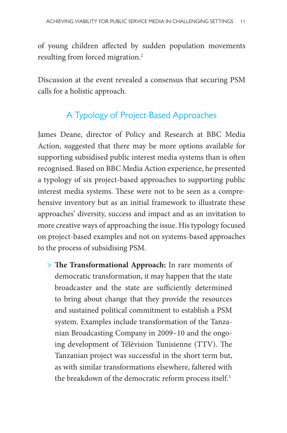of young children affected by sudden population movements resulting from forced migration[.2](#page-27-2)

Discussion at the event revealed a consensus that securing PSM calls for a holistic approach.

#### <span id="page-13-0"></span>A Typology of Project-Based Approaches

James Deane, director of Policy and Research at BBC Media Action, suggested that there may be more options available for supporting subsidised public interest media systems than is often recognised. Based on BBC Media Action experience, he presented a typology of six project-based approaches to supporting public interest media systems. These were not to be seen as a comprehensive inventory but as an initial framework to illustrate these approaches' diversity, success and impact and as an invitation to more creative ways of approaching the issue. His typology focused on project-based examples and not on systems-based approaches to the process of subsidising PSM.

**> The Transformational Approach:** In rare moments of democratic transformation, it may happen that the state broadcaster and the state are sufficiently determined to bring about change that they provide the resources and sustained political commitment to establish a PSM system. Examples include transformation of the Tanzanian Broadcasting Company in 2009–10 and the ongoing development of Télévision Tunisienne (TTV). The Tanzanian project was successful in the short term but, as with similar transformations elsewhere, faltered with the breakdown of the democratic reform process itself.<sup>3</sup>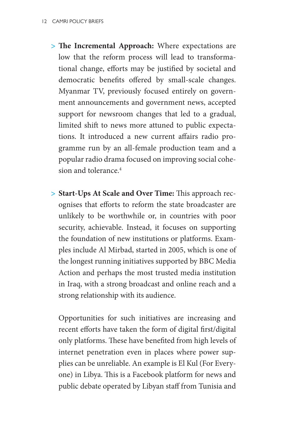- **> The Incremental Approach:** Where expectations are low that the reform process will lead to transformational change, efforts may be justified by societal and democratic benefits offered by small-scale changes. Myanmar TV, previously focused entirely on government announcements and government news, accepted support for newsroom changes that led to a gradual, limited shift to news more attuned to public expectations. It introduced a new current affairs radio programme run by an all-female production team and a popular radio drama focused on improving social cohesion and tolerance[.4](#page-27-4)
- **> Start-Ups At Scale and Over Time:** This approach recognises that efforts to reform the state broadcaster are unlikely to be worthwhile or, in countries with poor security, achievable. Instead, it focuses on supporting the foundation of new institutions or platforms. Examples include Al Mirbad, started in 2005, which is one of the longest running initiatives supported by BBC Media Action and perhaps the most trusted media institution in Iraq, with a strong broadcast and online reach and a strong relationship with its audience.

Opportunities for such initiatives are increasing and recent efforts have taken the form of digital first/digital only platforms. These have benefited from high levels of internet penetration even in places where power supplies can be unreliable. An example is El Kul (For Everyone) in Libya. This is a Facebook platform for news and public debate operated by Libyan staff from Tunisia and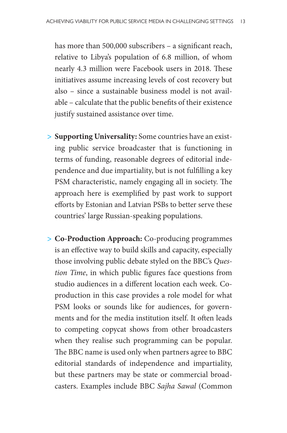has more than 500,000 subscribers – a significant reach, relative to Libya's population of 6.8 million, of whom nearly 4.3 million were Facebook users in 2018. These initiatives assume increasing levels of cost recovery but also – since a sustainable business model is not available – calculate that the public benefits of their existence justify sustained assistance over time.

- **> Supporting Universality:** Some countries have an existing public service broadcaster that is functioning in terms of funding, reasonable degrees of editorial independence and due impartiality, but is not fulfilling a key PSM characteristic, namely engaging all in society. The approach here is exemplified by past work to support efforts by Estonian and Latvian PSBs to better serve these countries' large Russian-speaking populations.
- **> Co-Production Approach:** Co-producing programmes is an effective way to build skills and capacity, especially those involving public debate styled on the BBC's *Question Time*, in which public figures face questions from studio audiences in a different location each week. Coproduction in this case provides a role model for what PSM looks or sounds like for audiences, for governments and for the media institution itself. It often leads to competing copycat shows from other broadcasters when they realise such programming can be popular. The BBC name is used only when partners agree to BBC editorial standards of independence and impartiality, but these partners may be state or commercial broadcasters. Examples include BBC *Sajha Sawal* (Common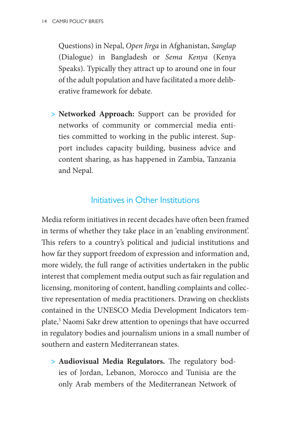Questions) in Nepal, *Open Jirga* in Afghanistan, *Sanglap* (Dialogue) in Bangladesh or *Sema Kenya* (Kenya Speaks). Typically they attract up to around one in four of the adult population and have facilitated a more deliberative framework for debate.

**> Networked Approach:** Support can be provided for networks of community or commercial media entities committed to working in the public interest. Support includes capacity building, business advice and content sharing, as has happened in Zambia, Tanzania and Nepal.

#### <span id="page-16-0"></span>Initiatives in Other Institutions

Media reform initiatives in recent decades have often been framed in terms of whether they take place in an 'enabling environment'. This refers to a country's political and judicial institutions and how far they support freedom of expression and information and, more widely, the full range of activities undertaken in the public interest that complement media output such as fair regulation and licensing, monitoring of content, handling complaints and collective representation of media practitioners. Drawing on checklists contained in the UNESCO Media Development Indicators template,<sup>5</sup> Naomi Sakr drew attention to openings that have occurred in regulatory bodies and journalism unions in a small number of southern and eastern Mediterranean states.

**> Audiovisual Media Regulators.** The regulatory bodies of Jordan, Lebanon, Morocco and Tunisia are the only Arab members of the Mediterranean Network of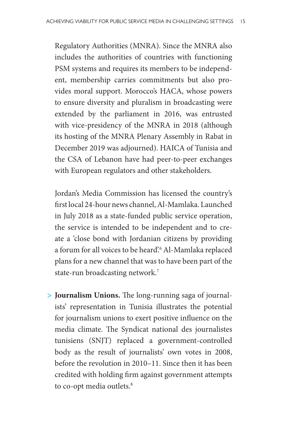Regulatory Authorities (MNRA). Since the MNRA also includes the authorities of countries with functioning PSM systems and requires its members to be independent, membership carries commitments but also provides moral support. Morocco's HACA, whose powers to ensure diversity and pluralism in broadcasting were extended by the parliament in 2016, was entrusted with vice-presidency of the MNRA in 2018 (although its hosting of the MNRA Plenary Assembly in Rabat in December 2019 was adjourned). HAICA of Tunisia and the CSA of Lebanon have had peer-to-peer exchanges with European regulators and other stakeholders.

Jordan's Media Commission has licensed the country's first local 24-hour news channel, Al-Mamlaka. Launched in July 2018 as a state-funded public service operation, the service is intended to be independent and to create a 'close bond with Jordanian citizens by providing a forum for all voices to be heard'.[6](#page-27-6) Al-Mamlaka replaced plans for a new channel that was to have been part of the state-run broadcasting network[.7](#page-27-7)

**> Journalism Unions.** The long-running saga of journalists' representation in Tunisia illustrates the potential for journalism unions to exert positive influence on the media climate. The Syndicat national des journalistes tunisiens (SNJT) replaced a government-controlled body as the result of journalists' own votes in 2008, before the revolution in 2010–11. Since then it has been credited with holding firm against government attempts to co-opt media outlets.<sup>8</sup>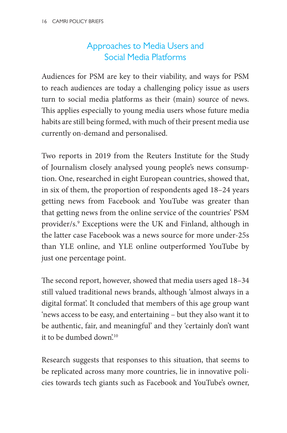### <span id="page-18-0"></span>Approaches to Media Users and Social Media Platforms

Audiences for PSM are key to their viability, and ways for PSM to reach audiences are today a challenging policy issue as users turn to social media platforms as their (main) source of news. This applies especially to young media users whose future media habits are still being formed, with much of their present media use currently on-demand and personalised.

Two reports in 2019 from the Reuters Institute for the Study of Journalism closely analysed young people's news consumption. One, researched in eight European countries, showed that, in six of them, the proportion of respondents aged 18–24 years getting news from Facebook and YouTube was greater than that getting news from the online service of the countries' PSM provider/s[.9](#page-28-1) Exceptions were the UK and Finland, although in the latter case Facebook was a news source for more under-25s than YLE online, and YLE online outperformed YouTube by just one percentage point.

The second report, however, showed that media users aged 18–34 still valued traditional news brands, although 'almost always in a digital format'. It concluded that members of this age group want 'news access to be easy, and entertaining – but they also want it to be authentic, fair, and meaningful' and they 'certainly don't want it to be dumbed down'.[10](#page-28-2)

Research suggests that responses to this situation, that seems to be replicated across many more countries, lie in innovative policies towards tech giants such as Facebook and YouTube's owner,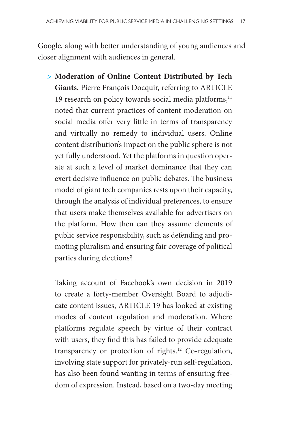Google, along with better understanding of young audiences and closer alignment with audiences in general.

**> Moderation of Online Content Distributed by Tech Giants.** Pierre François Docquir, referring to ARTICLE 19 research on policy towards social media platforms, $11$ noted that current practices of content moderation on social media offer very little in terms of transparency and virtually no remedy to individual users. Online content distribution's impact on the public sphere is not yet fully understood. Yet the platforms in question operate at such a level of market dominance that they can exert decisive influence on public debates. The business model of giant tech companies rests upon their capacity, through the analysis of individual preferences, to ensure that users make themselves available for advertisers on the platform. How then can they assume elements of public service responsibility, such as defending and promoting pluralism and ensuring fair coverage of political parties during elections?

Taking account of Facebook's own decision in 2019 to create a forty-member Oversight Board to adjudicate content issues, ARTICLE 19 has looked at existing modes of content regulation and moderation. Where platforms regulate speech by virtue of their contract with users, they find this has failed to provide adequate transparency or protection of rights[.12](#page-28-4) Co-regulation, involving state support for privately-run self-regulation, has also been found wanting in terms of ensuring freedom of expression. Instead, based on a two-day meeting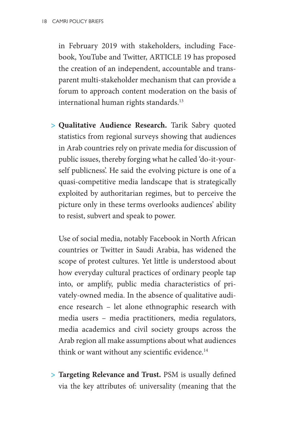in February 2019 with stakeholders, including Facebook, YouTube and Twitter, ARTICLE 19 has proposed the creation of an independent, accountable and transparent multi-stakeholder mechanism that can provide a forum to approach content moderation on the basis of international human rights standards.[13](#page-28-5)

**> Qualitative Audience Research.** Tarik Sabry quoted statistics from regional surveys showing that audiences in Arab countries rely on private media for discussion of public issues, thereby forging what he called 'do-it-yourself publicness'. He said the evolving picture is one of a quasi-competitive media landscape that is strategically exploited by authoritarian regimes, but to perceive the picture only in these terms overlooks audiences' ability to resist, subvert and speak to power.

Use of social media, notably Facebook in North African countries or Twitter in Saudi Arabia, has widened the scope of protest cultures. Yet little is understood about how everyday cultural practices of ordinary people tap into, or amplify, public media characteristics of privately-owned media. In the absence of qualitative audience research – let alone ethnographic research with media users – media practitioners, media regulators, media academics and civil society groups across the Arab region all make assumptions about what audiences think or want without any scientific evidence.<sup>[14](#page-28-6)</sup>

**> Targeting Relevance and Trust.** PSM is usually defined via the key attributes of: universality (meaning that the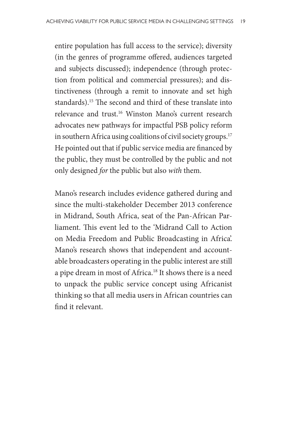entire population has full access to the service); diversity (in the genres of programme offered, audiences targeted and subjects discussed); independence (through protection from political and commercial pressures); and distinctiveness (through a remit to innovate and set high standards).[15](#page-28-7) The second and third of these translate into relevance and trust[.16](#page-28-8) Winston Mano's current research advocates new pathways for impactful PSB policy reform in southern Africa using coalitions of civil society groups.<sup>17</sup> He pointed out that if public service media are financed by the public, they must be controlled by the public and not only designed *for* the public but also *with* them.

Mano's research includes evidence gathered during and since the multi-stakeholder December 2013 conference in Midrand, South Africa, seat of the Pan-African Parliament. This event led to the 'Midrand Call to Action on Media Freedom and Public Broadcasting in Africa'. Mano's research shows that independent and accountable broadcasters operating in the public interest are still a pipe dream in most of Africa.[18](#page-29-1) It shows there is a need to unpack the public service concept using Africanist thinking so that all media users in African countries can find it relevant.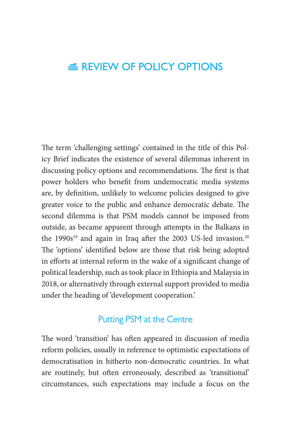## <span id="page-22-0"></span>E REVIEW OF POLICY OPTIONS

The term 'challenging settings' contained in the title of this Policy Brief indicates the existence of several dilemmas inherent in discussing policy options and recommendations. The first is that power holders who benefit from undemocratic media systems are, by definition, unlikely to welcome policies designed to give greater voice to the public and enhance democratic debate. The second dilemma is that PSM models cannot be imposed from outside, as became apparent through attempts in the Balkans in the  $1990s^{19}$  $1990s^{19}$  and again in Iraq after the 2003 US-led invasion.<sup>20</sup> The 'options' identified below are those that risk being adopted in efforts at internal reform in the wake of a significant change of political leadership, such as took place in Ethiopia and Malaysia in 2018, or alternatively through external support provided to media under the heading of 'development cooperation.'

#### <span id="page-22-1"></span>Putting PSM at the Centre

The word 'transition' has often appeared in discussion of media reform policies, usually in reference to optimistic expectations of democratisation in hitherto non-democratic countries. In what are routinely, but often erroneously, described as 'transitional' circumstances, such expectations may include a focus on the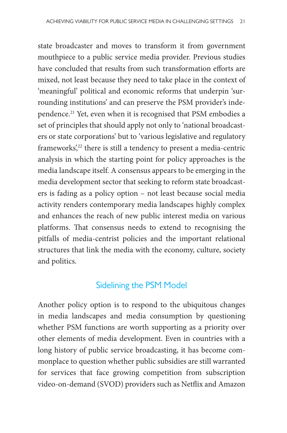state broadcaster and moves to transform it from government mouthpiece to a public service media provider. Previous studies have concluded that results from such transformation efforts are mixed, not least because they need to take place in the context of 'meaningful' political and economic reforms that underpin 'surrounding institutions' and can preserve the PSM provider's independence[.21](#page-29-4) Yet, even when it is recognised that PSM embodies a set of principles that should apply not only to 'national broadcasters or state corporations' but to 'various legislative and regulatory frameworks,<sup>22</sup> there is still a tendency to present a media-centric analysis in which the starting point for policy approaches is the media landscape itself. A consensus appears to be emerging in the media development sector that seeking to reform state broadcasters is fading as a policy option – not least because social media activity renders contemporary media landscapes highly complex and enhances the reach of new public interest media on various platforms. That consensus needs to extend to recognising the pitfalls of media-centrist policies and the important relational structures that link the media with the economy, culture, society and politics.

#### <span id="page-23-0"></span>Sidelining the PSM Model

Another policy option is to respond to the ubiquitous changes in media landscapes and media consumption by questioning whether PSM functions are worth supporting as a priority over other elements of media development. Even in countries with a long history of public service broadcasting, it has become commonplace to question whether public subsidies are still warranted for services that face growing competition from subscription video-on-demand (SVOD) providers such as Netflix and Amazon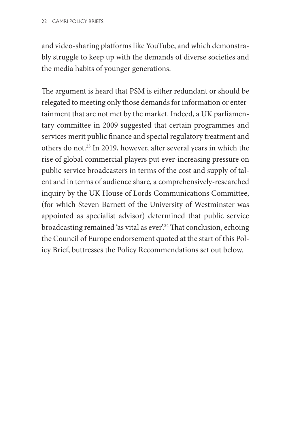and video-sharing platforms like YouTube, and which demonstrably struggle to keep up with the demands of diverse societies and the media habits of younger generations.

The argument is heard that PSM is either redundant or should be relegated to meeting only those demands for information or entertainment that are not met by the market. Indeed, a UK parliamentary committee in 2009 suggested that certain programmes and services merit public finance and special regulatory treatment and others do not[.23](#page-29-6) In 2019, however, after several years in which the rise of global commercial players put ever-increasing pressure on public service broadcasters in terms of the cost and supply of talent and in terms of audience share, a comprehensively-researched inquiry by the UK House of Lords Communications Committee, (for which Steven Barnett of the University of Westminster was appointed as specialist advisor) determined that public service broadcasting remained 'as vital as ever'.<sup>[24](#page-30-0)</sup> That conclusion, echoing the Council of Europe endorsement quoted at the start of this Policy Brief, buttresses the Policy Recommendations set out below.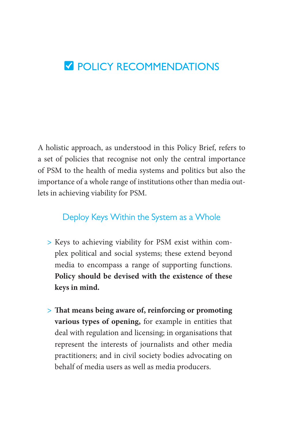## <span id="page-25-0"></span>**V** POLICY RECOMMENDATIONS

A holistic approach, as understood in this Policy Brief, refers to a set of policies that recognise not only the central importance of PSM to the health of media systems and politics but also the importance of a whole range of institutions other than media outlets in achieving viability for PSM.

#### <span id="page-25-1"></span>Deploy Keys Within the System as a Whole

- **>** Keys to achieving viability for PSM exist within complex political and social systems; these extend beyond media to encompass a range of supporting functions. **Policy should be devised with the existence of these keys in mind.**
- **> That means being aware of, reinforcing or promoting various types of opening,** for example in entities that deal with regulation and licensing; in organisations that represent the interests of journalists and other media practitioners; and in civil society bodies advocating on behalf of media users as well as media producers.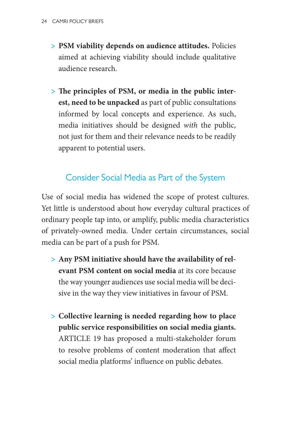- **> PSM viability depends on audience attitudes.** Policies aimed at achieving viability should include qualitative audience research.
- **> The principles of PSM, or media in the public interest, need to be unpacked** as part of public consultations informed by local concepts and experience. As such, media initiatives should be designed *with* the public, not just for them and their relevance needs to be readily apparent to potential users.

#### <span id="page-26-0"></span>Consider Social Media as Part of the System

Use of social media has widened the scope of protest cultures. Yet little is understood about how everyday cultural practices of ordinary people tap into, or amplify, public media characteristics of privately-owned media. Under certain circumstances, social media can be part of a push for PSM.

- **> Any PSM initiative should have the availability of relevant PSM content on social media** at its core because the way younger audiences use social media will be decisive in the way they view initiatives in favour of PSM.
- **> Collective learning is needed regarding how to place public service responsibilities on social media giants.** ARTICLE 19 has proposed a multi-stakeholder forum to resolve problems of content moderation that affect social media platforms' influence on public debates.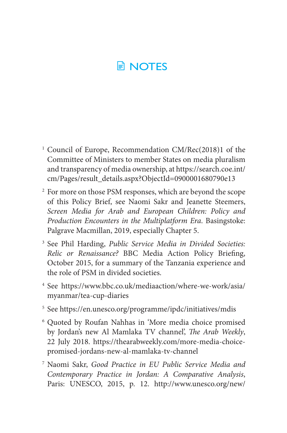# <span id="page-27-0"></span>**E** NOTES

- <span id="page-27-1"></span><sup>1</sup> Council of Europe, Recommendation CM/Rec(2018)1 of the Committee of Ministers to member States on media pluralism and transparency of media ownership, at [https://search.coe.int/](https://search.coe.int/cm/Pages/result_details.aspx?ObjectId=0900001680790e13) [cm/Pages/result\\_details.aspx?ObjectId=0900001680790e13](https://search.coe.int/cm/Pages/result_details.aspx?ObjectId=0900001680790e13)
- <span id="page-27-2"></span><sup>2</sup> For more on those PSM responses, which are beyond the scope of this Policy Brief, see Naomi Sakr and Jeanette Steemers, *Screen Media for Arab and European Children: Policy and Production Encounters in the Multiplatform Era*. Basingstoke: Palgrave Macmillan, 2019, especially Chapter 5.
- <span id="page-27-3"></span><sup>3</sup> See Phil Harding, *[Public Service Media in Divided Societies:](https://www.bbc.co.uk/mediaaction/publications-and-resources/policy/briefings/public-service-broadcasting-21C)  [Relic or Renaissance?](https://www.bbc.co.uk/mediaaction/publications-and-resources/policy/briefings/public-service-broadcasting-21C)* BBC Media Action Policy Briefing, October 2015, for a summary of the Tanzania experience and the role of PSM in divided societies.
- <span id="page-27-4"></span><sup>4</sup> See [https://www.bbc.co.uk/mediaaction/where-we-work/asia/](https://www.bbc.co.uk/mediaaction/where-we-work/asia/myanmar/tea-cup-diaries) [myanmar/tea-cup-diaries](https://www.bbc.co.uk/mediaaction/where-we-work/asia/myanmar/tea-cup-diaries)
- <span id="page-27-5"></span><sup>5</sup> See <https://en.unesco.org/programme/ipdc/initiatives/mdis>
- <span id="page-27-6"></span><sup>6</sup> Quoted by Roufan Nahhas in 'More media choice promised by Jordan's new Al Mamlaka TV channel', *The Arab Weekly*, 22 July 2018. [https://thearabweekly.com/more-media-choice](https://thearabweekly.com/more-media-choice-promised-jordans-new-al-mamlaka-tv-channel)[promised-jordans-new-al-mamlaka-tv-channel](https://thearabweekly.com/more-media-choice-promised-jordans-new-al-mamlaka-tv-channel)
- <span id="page-27-7"></span><sup>7</sup> Naomi Sakr, *Good Practice in EU Public Service Media and Contemporary Practice in Jordan: A Comparative Analysis*, Paris: UNESCO, 2015, p. 12. [http://www.unesco.org/new/](http://www.unesco.org/new/fileadmin/MULTIMEDIA/FIELD/Amman/pdf/Good_Practice_in_EU_Public_Service_Media_and_Contemporar.pdf)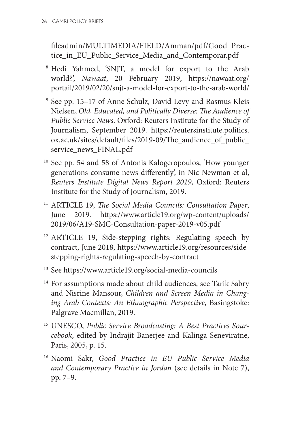[fileadmin/MULTIMEDIA/FIELD/Amman/pdf/Good\\_Prac](http://www.unesco.org/new/fileadmin/MULTIMEDIA/FIELD/Amman/pdf/Good_Practice_in_EU_Public_Service_Media_and_Contemporar.pdf)[tice\\_in\\_EU\\_Public\\_Service\\_Media\\_and\\_Contemporar.pdf](http://www.unesco.org/new/fileadmin/MULTIMEDIA/FIELD/Amman/pdf/Good_Practice_in_EU_Public_Service_Media_and_Contemporar.pdf)

- <span id="page-28-0"></span><sup>8</sup> Hedi Yahmed, 'SNJT, a model for export to the Arab world?', *Nawaat*, 20 February 2019, [https://nawaat.org/](https://nawaat.org/portail/2019/02/20/snjt-a-model-for-export-to-the-arab-world/) [portail/2019/02/20/snjt-a-model-for-export-to-the-arab-world/](https://nawaat.org/portail/2019/02/20/snjt-a-model-for-export-to-the-arab-world/)
- <span id="page-28-1"></span><sup>9</sup> See pp. 15–17 of Anne Schulz, David Levy and Rasmus Kleis Nielsen, *Old, Educated, and Politically Diverse: The Audience of Public Service News*. Oxford: Reuters Institute for the Study of Journalism, September 2019. [https://reutersinstitute.politics.](https://reutersinstitute.politics.ox.ac.uk/sites/default/files/2019-09/The_audience_of_public_service_news_FINAL.pdf) [ox.ac.uk/sites/default/files/2019-09/The\\_audience\\_of\\_public\\_](https://reutersinstitute.politics.ox.ac.uk/sites/default/files/2019-09/The_audience_of_public_service_news_FINAL.pdf) [service\\_news\\_FINAL.pdf](https://reutersinstitute.politics.ox.ac.uk/sites/default/files/2019-09/The_audience_of_public_service_news_FINAL.pdf)
- <span id="page-28-2"></span><sup>10</sup> See pp. 54 and 58 of Antonis Kalogeropoulos, 'How younger generations consume news differently', in Nic Newman et al, *Reuters Institute Digital News Report 2019*, Oxford: Reuters Institute for the Study of Journalism, 2019.
- <span id="page-28-3"></span><sup>11</sup> ARTICLE 19, *The Social Media Councils: Consultation Paper*, June 2019. [https://www.article19.org/wp-content/uploads/](https://www.article19.org/wp-content/uploads/2019/06/A19-SMC-Consultation-paper-2019-v05.pdf) [2019/06/A19-SMC-Consultation-paper-2019-v05.pdf](https://www.article19.org/wp-content/uploads/2019/06/A19-SMC-Consultation-paper-2019-v05.pdf)
- <span id="page-28-4"></span><sup>12</sup> ARTICLE 19, Side-stepping rights: Regulating speech by contract, June 2018, https://www.article19.org/resources/sidestepping-rights-regulating-speech-by-contract
- <span id="page-28-5"></span><sup>13</sup> See<https://www.article19.org/social-media-councils>
- <span id="page-28-6"></span><sup>14</sup> For assumptions made about child audiences, see Tarik Sabry and Nisrine Mansour, *Children and Screen Media in Changing Arab Contexts: An Ethnographic Perspective*, Basingstoke: Palgrave Macmillan, 2019.
- <span id="page-28-7"></span><sup>15</sup> UNESCO, *Public Service Broadcasting: A Best Practices Sourcebook*, edited by Indrajit Banerjee and Kalinga Seneviratne, Paris, 2005, p. 15.
- <span id="page-28-8"></span><sup>16</sup> Naomi Sakr, *Good Practice in EU Public Service Media and Contemporary Practice in Jordan* (see details in Note 7), pp. 7–9.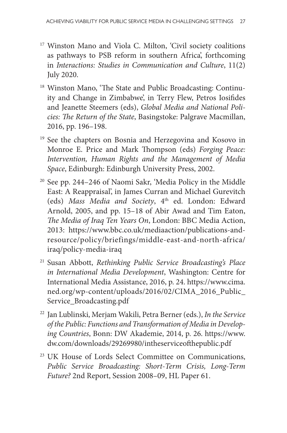- <span id="page-29-0"></span><sup>17</sup> Winston Mano and Viola C. Milton, 'Civil society coalitions as pathways to PSB reform in southern Africa', forthcoming in *Interactions: Studies in Communication and Culture*, 11(2) July 2020.
- <span id="page-29-1"></span><sup>18</sup> Winston Mano, 'The State and Public Broadcasting: Continuity and Change in Zimbabwe', in Terry Flew, Petros Iosifides and Jeanette Steemers (eds), *Global Media and National Policies: The Return of the State*, Basingstoke: Palgrave Macmillan, 2016, pp. 196–198.
- <span id="page-29-2"></span><sup>19</sup> See the chapters on Bosnia and Herzegovina and Kosovo in Monroe E. Price and Mark Thompson (eds) *Forging Peace: Intervention, Human Rights and the Management of Media Space*, Edinburgh: Edinburgh University Press, 2002.
- <span id="page-29-3"></span><sup>20</sup> See pp. 244–246 of Naomi Sakr, 'Media Policy in the Middle East: A Reappraisal', in James Curran and Michael Gurevitch (eds) Mass Media and Society, 4<sup>th</sup> ed. London: Edward Arnold, 2005, and pp. 15–18 of Abir Awad and Tim Eaton, *The Media of Iraq Ten Years On*, London: BBC Media Action, 2013: [https://www.bbc.co.uk/mediaaction/publications-and](https://www.bbc.co.uk/mediaaction/publications-and-resource/policy/briefings/middle-east-and-north-africa/iraq/policy-media-iraq)[resource/policy/briefings/middle-east-and-north-africa/](https://www.bbc.co.uk/mediaaction/publications-and-resource/policy/briefings/middle-east-and-north-africa/iraq/policy-media-iraq) [iraq/policy-media-iraq](https://www.bbc.co.uk/mediaaction/publications-and-resource/policy/briefings/middle-east-and-north-africa/iraq/policy-media-iraq)
- <span id="page-29-4"></span><sup>21</sup> Susan Abbott, *Rethinking Public Service Broadcasting's Place in International Media Development*, Washington: Centre for International Media Assistance, 2016, p. 24. [https://www.cima.](https://www.cima.ned.org/wp-content/uploads/2016/02/CIMA_2016_Public_Service_Broadcasting.pdf) [ned.org/wp-content/uploads/2016/02/CIMA\\_2016\\_Public\\_](https://www.cima.ned.org/wp-content/uploads/2016/02/CIMA_2016_Public_Service_Broadcasting.pdf) [Service\\_Broadcasting.pdf](https://www.cima.ned.org/wp-content/uploads/2016/02/CIMA_2016_Public_Service_Broadcasting.pdf)
- <span id="page-29-5"></span><sup>22</sup> Jan Lublinski, Merjam Wakili, Petra Berner (eds.), *In the Service of the Public: Functions and Transformation of Media in Developing Countries*, Bonn: DW Akademie, 2014, p. 26. [https://www.](https://www.dw.com/downloads/29269980/intheserviceofthepublic.pdf) [dw.com/downloads/29269980/intheserviceofthepublic.pdf](https://www.dw.com/downloads/29269980/intheserviceofthepublic.pdf)
- <span id="page-29-6"></span><sup>23</sup> UK House of Lords Select Committee on Communications, *Public Service Broadcasting: Short-Term Crisis, Long-Term Future?* 2nd Report, Session 2008–09, HL Paper 61.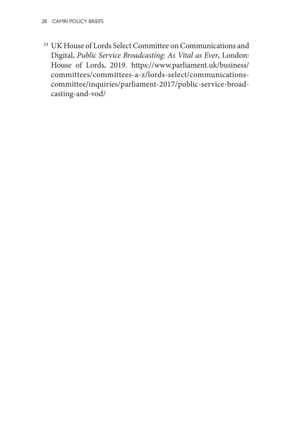<span id="page-30-0"></span><sup>24</sup> UK House of Lords Select Committee on Communications and Digital, *Public Service Broadcasting: As Vital as Ever*, London: House of Lords, 2019. [https://www.parliament.uk/business/](https://www.parliament.uk/business/committees/committees-a-z/lords-select/communications-committee/inquiries/parliament-2017/public-service-broadcasting-and-vod/) [committees/committees-a-z/lords-select/communications](https://www.parliament.uk/business/committees/committees-a-z/lords-select/communications-committee/inquiries/parliament-2017/public-service-broadcasting-and-vod/)[committee/inquiries/parliament-2017/public-service-broad](https://www.parliament.uk/business/committees/committees-a-z/lords-select/communications-committee/inquiries/parliament-2017/public-service-broadcasting-and-vod/)[casting-and-vod/](https://www.parliament.uk/business/committees/committees-a-z/lords-select/communications-committee/inquiries/parliament-2017/public-service-broadcasting-and-vod/)